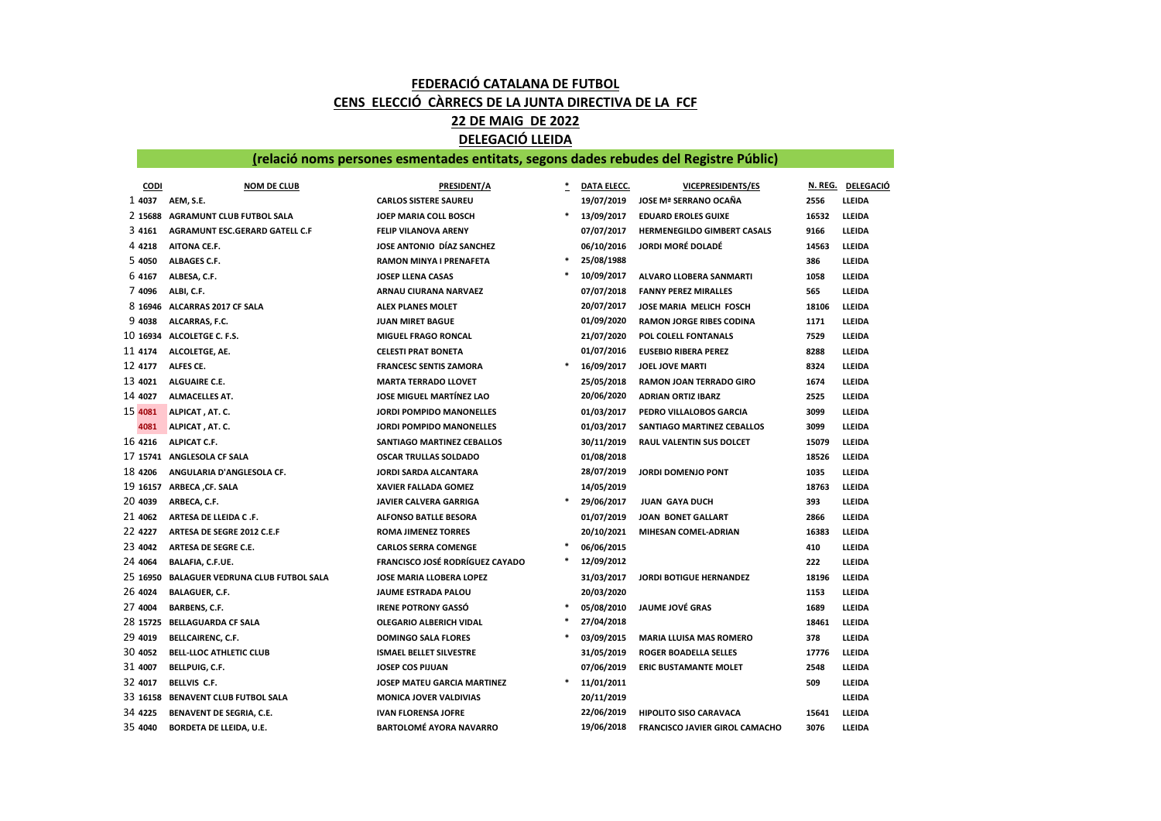## FEDERACIÓ CATALANA DE FUTBOL CENS ELECCIÓ CÀRRECS DE LA JUNTA DIRECTIVA DE LA FCF 22 DE MAIG DE 2022

## DELEGACIÓ LLEIDA

## (relació noms persones esmentades entitats, segons dades rebudes del Registre Públic)

| <b>CODI</b> | <b>NOM DE CLUB</b>                       | <b>PRESIDENT/A</b>                     |   | DATA ELECC. | <b>VICEPRESIDENTS/ES</b>              | N. REG. | <b>DELEGACIÓ</b> |
|-------------|------------------------------------------|----------------------------------------|---|-------------|---------------------------------------|---------|------------------|
| 1 4037      | AEM, S.E.                                | <b>CARLOS SISTERE SAUREU</b>           |   | 19/07/2019  | <b>JOSE Mª SERRANO OCAÑA</b>          | 2556    | LLEIDA           |
| 2 15688     | <b>AGRAMUNT CLUB FUTBOL SALA</b>         | JOEP MARIA COLL BOSCH                  | * | 13/09/2017  | <b>EDUARD EROLES GUIXE</b>            | 16532   | LLEIDA           |
| 3 4 1 6 1   | AGRAMUNT ESC.GERARD GATELL C.F           | FELIP VILANOVA ARENY                   |   | 07/07/2017  | HERMENEGILDO GIMBERT CASALS           | 9166    | LLEIDA           |
| 4 4 2 1 8   | AITONA CE.F.                             | JOSE ANTONIO DÍAZ SANCHEZ              |   | 06/10/2016  | <b>JORDI MORÉ DOLADÉ</b>              | 14563   | LLEIDA           |
| 5 4050      | ALBAGES C.F.                             | RAMON MINYA I PRENAFETA                | * | 25/08/1988  |                                       | 386     | LLEIDA           |
| 64167       | ALBESA, C.F.                             | <b>JOSEP LLENA CASAS</b>               |   | 10/09/2017  | ALVARO LLOBERA SANMARTI               | 1058    | LLEIDA           |
| 7 4096      | ALBI, C.F.                               | ARNAU CIURANA NARVAEZ                  |   | 07/07/2018  | <b>FANNY PEREZ MIRALLES</b>           | 565     | LLEIDA           |
|             | 8 16946 ALCARRAS 2017 CF SALA            | <b>ALEX PLANES MOLET</b>               |   | 20/07/2017  | JOSE MARIA MELICH FOSCH               | 18106   | LLEIDA           |
| 9 4038      | ALCARRAS, F.C.                           | <b>JUAN MIRET BAGUE</b>                |   | 01/09/2020  | <b>RAMON JORGE RIBES CODINA</b>       | 1171    | LLEIDA           |
|             | 10 16934 ALCOLETGE C. F.S.               | <b>MIGUEL FRAGO RONCAL</b>             |   | 21/07/2020  | POL COLELL FONTANALS                  | 7529    | LLEIDA           |
| 11 4174     | ALCOLETGE, AE.                           | CELESTI PRAT BONETA                    |   | 01/07/2016  | <b>EUSEBIO RIBERA PEREZ</b>           | 8288    | LLEIDA           |
| 12 4177     | ALFES CE.                                | <b>FRANCESC SENTIS ZAMORA</b>          | * | 16/09/2017  | <b>JOEL JOVE MARTI</b>                | 8324    | LLEIDA           |
| 13 4021     | <b>ALGUAIRE C.E.</b>                     | <b>MARTA TERRADO LLOVET</b>            |   | 25/05/2018  | RAMON JOAN TERRADO GIRO               | 1674    | LLEIDA           |
| 14 4027     | <b>ALMACELLES AT.</b>                    | <b>JOSE MIGUEL MARTÍNEZ LAO</b>        |   | 20/06/2020  | <b>ADRIAN ORTIZ IBARZ</b>             | 2525    | LLEIDA           |
| 15 4081     | ALPICAT, AT. C.                          | JORDI POMPIDO MANONELLES               |   | 01/03/2017  | PEDRO VILLALOBOS GARCIA               | 3099    | LLEIDA           |
| 4081        | ALPICAT, AT. C.                          | <b>JORDI POMPIDO MANONELLES</b>        |   | 01/03/2017  | SANTIAGO MARTINEZ CEBALLOS            | 3099    | LLEIDA           |
| 16 4216     | <b>ALPICAT C.F.</b>                      | <b>SANTIAGO MARTINEZ CEBALLOS</b>      |   | 30/11/2019  | RAUL VALENTIN SUS DOLCET              | 15079   | LLEIDA           |
|             | 17 15741 ANGLESOLA CF SALA               | <b>OSCAR TRULLAS SOLDADO</b>           |   | 01/08/2018  |                                       | 18526   | LLEIDA           |
| 18 4206     | ANGULARIA D'ANGLESOLA CF.                | <b>JORDI SARDA ALCANTARA</b>           |   | 28/07/2019  | <b>JORDI DOMENJO PONT</b>             | 1035    | LLEIDA           |
| 19 16157    | ARBECA ,CF. SALA                         | <b>XAVIER FALLADA GOMEZ</b>            |   | 14/05/2019  |                                       | 18763   | LLEIDA           |
| 20 4039     | ARBECA, C.F.                             | JAVIER CALVERA GARRIGA                 | * | 29/06/2017  | <b>JUAN GAYA DUCH</b>                 | 393     | LLEIDA           |
| 21 4062     | ARTESA DE LLEIDA C.F.                    | <b>ALFONSO BATLLE BESORA</b>           |   | 01/07/2019  | <b>JOAN BONET GALLART</b>             | 2866    | LLEIDA           |
| 22 4227     | ARTESA DE SEGRE 2012 C.E.F               | ROMA JIMENEZ TORRES                    |   | 20/10/2021  | MIHESAN COMEL-ADRIAN                  | 16383   | LLEIDA           |
| 23 4042     | ARTESA DE SEGRE C.E.                     | <b>CARLOS SERRA COMENGE</b>            |   | 06/06/2015  |                                       | 410     | LLEIDA           |
| 24 4064     | <b>BALAFIA, C.F.UE.</b>                  | <b>FRANCISCO JOSÉ RODRÍGUEZ CAYADO</b> |   | 12/09/2012  |                                       | 222     | LLEIDA           |
| 25 16950    | <b>BALAGUER VEDRUNA CLUB FUTBOL SALA</b> | <b>JOSE MARIA LLOBERA LOPEZ</b>        |   | 31/03/2017  | <b>JORDI BOTIGUE HERNANDEZ</b>        | 18196   | LLEIDA           |
| 26 4024     | <b>BALAGUER, C.F.</b>                    | <b>JAUME ESTRADA PALOU</b>             |   | 20/03/2020  |                                       | 1153    | LLEIDA           |
| 27 4004     | <b>BARBENS, C.F.</b>                     | IRENE POTRONY GASSÓ                    |   | 05/08/2010  | <b>JAUME JOVÉ GRAS</b>                | 1689    | LLEIDA           |
| 28 15725    | <b>BELLAGUARDA CF SALA</b>               | OLEGARIO ALBERICH VIDAL                |   | 27/04/2018  |                                       | 18461   | LLEIDA           |
| 29 4019     | BELLCAIRENC, C.F.                        | <b>DOMINGO SALA FLORES</b>             |   | 03/09/2015  | <b>MARIA LLUISA MAS ROMERO</b>        | 378     | LLEIDA           |
| 30 4052     | BELL-LLOC ATHLETIC CLUB                  | <b>ISMAEL BELLET SILVESTRE</b>         |   | 31/05/2019  | <b>ROGER BOADELLA SELLES</b>          | 17776   | LLEIDA           |
| 31 4007     | BELLPUIG, C.F.                           | <b>JOSEP COS PIJUAN</b>                |   | 07/06/2019  | <b>ERIC BUSTAMANTE MOLET</b>          | 2548    | LLEIDA           |
| 32 4017     | <b>BELLVIS C.F.</b>                      | JOSEP MATEU GARCIA MARTINEZ            |   | 11/01/2011  |                                       | 509     | LLEIDA           |
| 33 16158    | <b>BENAVENT CLUB FUTBOL SALA</b>         | <b>MONICA JOVER VALDIVIAS</b>          |   | 20/11/2019  |                                       |         | LLEIDA           |
| 34 4225     | BENAVENT DE SEGRIA, C.E.                 | <b>IVAN FLORENSA JOFRE</b>             |   | 22/06/2019  | <b>HIPOLITO SISO CARAVACA</b>         | 15641   | LLEIDA           |
| 35 4040     | <b>BORDETA DE LLEIDA, U.E.</b>           | <b>BARTOLOMÉ AYORA NAVARRO</b>         |   | 19/06/2018  | <b>FRANCISCO JAVIER GIROL CAMACHO</b> | 3076    | LLEIDA           |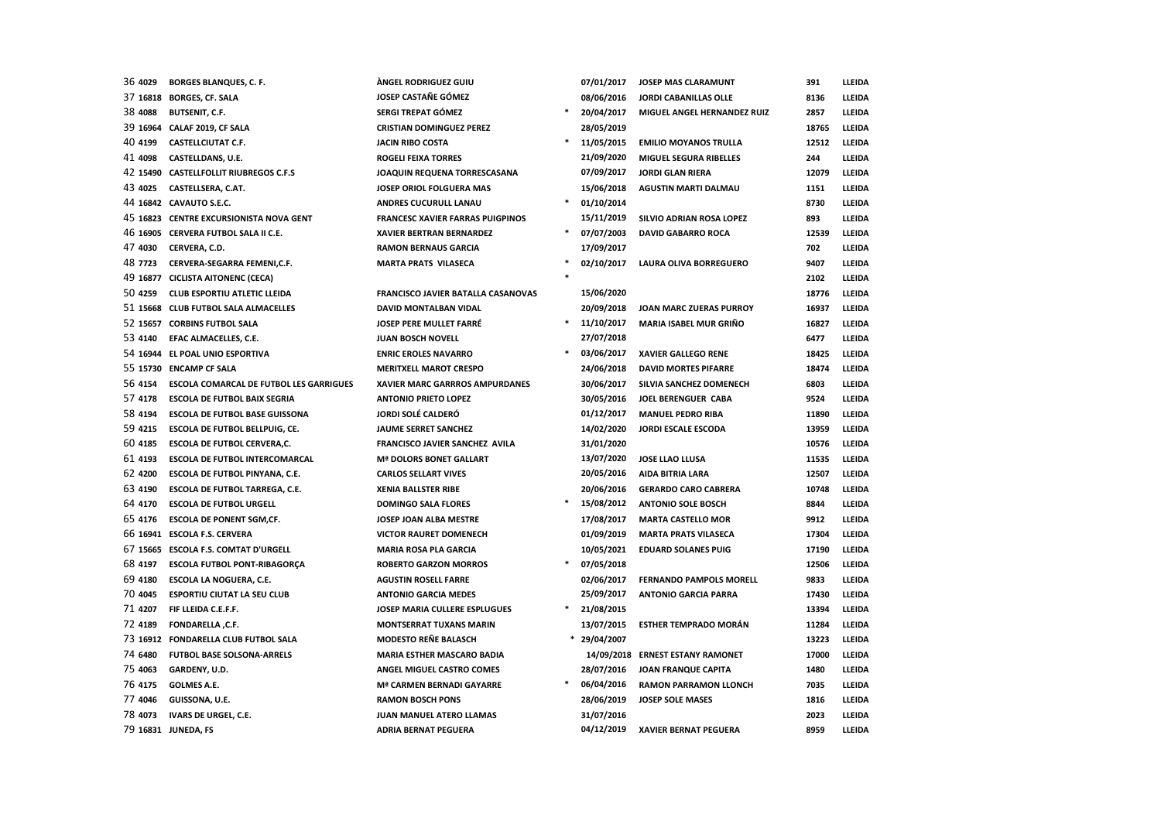| 36 4029  | <b>BORGES BLANQUES, C. F.</b>                  | <b>ÁNGEL RODRIGUEZ GUIU</b>             |   | 07/01/2017   | JOSEP MAS CLARAMUNT              | 391   | LLEIDA |
|----------|------------------------------------------------|-----------------------------------------|---|--------------|----------------------------------|-------|--------|
| 37 16818 | <b>BORGES, CF. SALA</b>                        | JOSEP CASTAÑE GÓMEZ                     |   | 08/06/2016   | <b>JORDI CABANILLAS OLLE</b>     | 8136  | LLEIDA |
| 38 4088  | <b>BUTSENIT, C.F.</b>                          | SERGI TREPAT GÓMEZ                      | * | 20/04/2017   | MIGUEL ANGEL HERNANDEZ RUIZ      | 2857  | LLEIDA |
|          | 39 16964 CALAF 2019, CF SALA                   | <b>CRISTIAN DOMINGUEZ PEREZ</b>         |   | 28/05/2019   |                                  | 18765 | LLEIDA |
| 40 4199  | <b>CASTELLCIUTAT C.F.</b>                      | <b>JACIN RIBO COSTA</b>                 | * | 11/05/2015   | <b>EMILIO MOYANOS TRULLA</b>     | 12512 | LLEIDA |
| 41 4098  | CASTELLDANS, U.E.                              | <b>ROGELI FEIXA TORRES</b>              |   | 21/09/2020   | MIGUEL SEGURA RIBELLES           | 244   | LLEIDA |
|          | 42 15490 CASTELLFOLLIT RIUBREGOS C.F.S         | JOAQUIN REQUENA TORRESCASANA            |   | 07/09/2017   | <b>JORDI GLAN RIERA</b>          | 12079 | LLEIDA |
| 43 4025  | CASTELLSERA, C.AT.                             | JOSEP ORIOL FOLGUERA MAS                |   | 15/06/2018   | <b>AGUSTIN MARTI DALMAU</b>      | 1151  | LLEIDA |
|          | 44 16842 CAVAUTO S.E.C.                        | ANDRES CUCURULL LANAU                   | * | 01/10/2014   |                                  | 8730  | LLEIDA |
|          | 45 16823 CENTRE EXCURSIONISTA NOVA GENT        | <b>FRANCESC XAVIER FARRAS PUIGPINOS</b> |   | 15/11/2019   | SILVIO ADRIAN ROSA LOPEZ         | 893   | LLEIDA |
|          | 46 16905 CERVERA FUTBOL SALA II C.E.           | <b>XAVIER BERTRAN BERNARDEZ</b>         |   | 07/07/2003   | <b>DAVID GABARRO ROCA</b>        | 12539 | LLEIDA |
| 47 4030  | CERVERA, C.D.                                  | <b>RAMON BERNAUS GARCIA</b>             |   | 17/09/2017   |                                  | 702   | LLEIDA |
| 48 7723  | CERVERA-SEGARRA FEMENI,C.F.                    | <b>MARTA PRATS VILASECA</b>             |   | 02/10/2017   | <b>LAURA OLIVA BORREGUERO</b>    | 9407  | LLEIDA |
|          | 49 16877 CICLISTA AITONENC (CECA)              |                                         |   |              |                                  | 2102  | LLEIDA |
| 50 4259  | <b>CLUB ESPORTIU ATLETIC LLEIDA</b>            | FRANCISCO JAVIER BATALLA CASANOVAS      |   | 15/06/2020   |                                  | 18776 | LLEIDA |
|          | 51 15668 CLUB FUTBOL SALA ALMACELLES           | <b>DAVID MONTALBAN VIDAL</b>            |   | 20/09/2018   | JOAN MARC ZUERAS PURROY          | 16937 | LLEIDA |
|          | 52 15657 CORBINS FUTBOL SALA                   | JOSEP PERE MULLET FARRÉ                 | * | 11/10/2017   | MARIA ISABEL MUR GRIÑO           | 16827 | LLEIDA |
| 53 4140  | EFAC ALMACELLES, C.E.                          | <b>JUAN BOSCH NOVELL</b>                |   | 27/07/2018   |                                  | 6477  | LLEIDA |
|          | 54 16944 EL POAL UNIO ESPORTIVA                | <b>ENRIC EROLES NAVARRO</b>             |   | 03/06/2017   | XAVIER GALLEGO RENE              | 18425 | LLEIDA |
|          | 55 15730 ENCAMP CF SALA                        | <b>MERITXELL MAROT CRESPO</b>           |   | 24/06/2018   | <b>DAVID MORTES PIFARRE</b>      | 18474 | LLEIDA |
| 56 4154  | <b>ESCOLA COMARCAL DE FUTBOL LES GARRIGUES</b> | XAVIER MARC GARRROS AMPURDANES          |   | 30/06/2017   | SILVIA SANCHEZ DOMENECH          | 6803  | LLEIDA |
| 57 4178  | <b>ESCOLA DE FUTBOL BAIX SEGRIA</b>            | <b>ANTONIO PRIETO LOPEZ</b>             |   | 30/05/2016   | JOEL BERENGUER CABA              | 9524  | LLEIDA |
| 58 4194  | <b>ESCOLA DE FUTBOL BASE GUISSONA</b>          | JORDI SOLÉ CALDERÓ                      |   | 01/12/2017   | <b>MANUEL PEDRO RIBA</b>         | 11890 | LLEIDA |
| 59 4215  | <b>ESCOLA DE FUTBOL BELLPUIG, CE.</b>          | <b>JAUME SERRET SANCHEZ</b>             |   | 14/02/2020   | <b>JORDI ESCALE ESCODA</b>       | 13959 | LLEIDA |
| 60 4185  | <b>ESCOLA DE FUTBOL CERVERA,C.</b>             | FRANCISCO JAVIER SANCHEZ AVILA          |   | 31/01/2020   |                                  | 10576 | LLEIDA |
| 61 4193  | <b>ESCOLA DE FUTBOL INTERCOMARCAL</b>          | <b>Mª DOLORS BONET GALLART</b>          |   | 13/07/2020   | JOSE LLAO LLUSA                  | 11535 | LLEIDA |
| 62 4200  | ESCOLA DE FUTBOL PINYANA, C.E.                 | <b>CARLOS SELLART VIVES</b>             |   | 20/05/2016   | AIDA BITRIA LARA                 | 12507 | LLEIDA |
| 63 4190  | ESCOLA DE FUTBOL TARREGA, C.E.                 | <b>XENIA BALLSTER RIBE</b>              |   | 20/06/2016   | <b>GERARDO CARO CABRERA</b>      | 10748 | LLEIDA |
| 64 4170  | <b>ESCOLA DE FUTBOL URGELL</b>                 | <b>DOMINGO SALA FLORES</b>              |   | 15/08/2012   | <b>ANTONIO SOLE BOSCH</b>        | 8844  | LLEIDA |
| 65 4176  | <b>ESCOLA DE PONENT SGM,CF.</b>                | JOSEP JOAN ALBA MESTRE                  |   | 17/08/2017   | <b>MARTA CASTELLO MOR</b>        | 9912  | LLEIDA |
|          | 66 16941 ESCOLA F.S. CERVERA                   | <b>VICTOR RAURET DOMENECH</b>           |   | 01/09/2019   | <b>MARTA PRATS VILASECA</b>      | 17304 | LLEIDA |
|          | 67 15665 ESCOLA F.S. COMTAT D'URGELL           | <b>MARIA ROSA PLA GARCIA</b>            |   | 10/05/2021   | <b>EDUARD SOLANES PUIG</b>       | 17190 | LLEIDA |
| 68 4197  | ESCOLA FUTBOL PONT-RIBAGORÇA                   | <b>ROBERTO GARZON MORROS</b>            | * | 07/05/2018   |                                  | 12506 | LLEIDA |
| 69 4180  | <b>ESCOLA LA NOGUERA, C.E.</b>                 | <b>AGUSTIN ROSELL FARRE</b>             |   | 02/06/2017   | <b>FERNANDO PAMPOLS MORELL</b>   | 9833  | LLEIDA |
| 70 4045  | <b>ESPORTIU CIUTAT LA SEU CLUB</b>             | <b>ANTONIO GARCIA MEDES</b>             |   | 25/09/2017   | <b>ANTONIO GARCIA PARRA</b>      | 17430 | LLEIDA |
| 71 4207  | FIF LLEIDA C.E.F.F.                            | JOSEP MARIA CULLERE ESPLUGUES           | * | 21/08/2015   |                                  | 13394 | LLEIDA |
| 72 4189  | FONDARELLA, C.F.                               | <b>MONTSERRAT TUXANS MARIN</b>          |   | 13/07/2015   | <b>ESTHER TEMPRADO MORÁN</b>     | 11284 | LLEIDA |
|          | 73 16912 FONDARELLA CLUB FUTBOL SALA           | MODESTO REÑE BALASCH                    |   | * 29/04/2007 |                                  | 13223 | LLEIDA |
| 74 6480  | <b>FUTBOL BASE SOLSONA-ARRELS</b>              | <b>MARIA ESTHER MASCARO BADIA</b>       |   |              | 14/09/2018 ERNEST ESTANY RAMONET | 17000 | LLEIDA |
| 75 4063  | GARDENY, U.D.                                  | ANGEL MIGUEL CASTRO COMES               |   | 28/07/2016   | JOAN FRANQUE CAPITA              | 1480  | LLEIDA |
| 76 4175  | <b>GOLMES A.E.</b>                             | Mª CARMEN BERNADI GAYARRE               |   | 06/04/2016   | <b>RAMON PARRAMON LLONCH</b>     | 7035  | LLEIDA |
| 77 4046  | GUISSONA, U.E.                                 | <b>RAMON BOSCH PONS</b>                 |   | 28/06/2019   | <b>JOSEP SOLE MASES</b>          | 1816  | LLEIDA |
| 78 4073  | <b>IVARS DE URGEL, C.E.</b>                    | <b>JUAN MANUEL ATERO LLAMAS</b>         |   | 31/07/2016   |                                  | 2023  | LLEIDA |
|          | 79 16831 JUNEDA, FS                            | <b>ADRIA BERNAT PEGUERA</b>             |   | 04/12/2019   | <b>XAVIER BERNAT PEGUERA</b>     | 8959  | LLEIDA |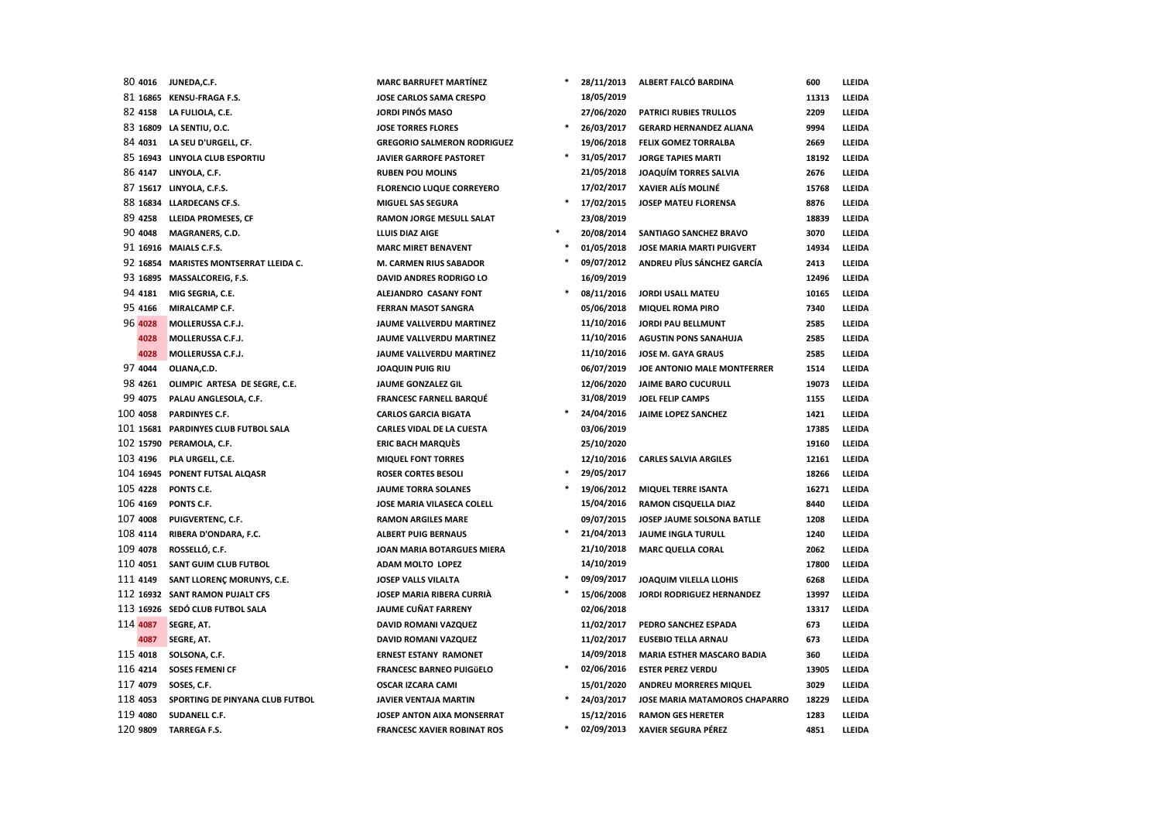| 80 4016  | JUNEDA,C.F.                            | <b>MARC BARRUFET MARTINEZ</b>      |        | 28/11/2013 | ALBERT FALCO BARDINA              | 600   | LLEIDA |
|----------|----------------------------------------|------------------------------------|--------|------------|-----------------------------------|-------|--------|
|          | 81 16865 KENSU-FRAGA F.S.              | JOSE CARLOS SAMA CRESPO            |        | 18/05/2019 |                                   | 11313 | LLEIDA |
| 82 4158  | LA FULIOLA, C.E.                       | <b>JORDI PINÓS MASO</b>            |        | 27/06/2020 | PATRICI RUBIES TRULLOS            | 2209  | LLEIDA |
|          | 83 16809 LA SENTIU, O.C.               | <b>JOSE TORRES FLORES</b>          | *      | 26/03/2017 | <b>GERARD HERNANDEZ ALIANA</b>    | 9994  | LLEIDA |
| 84 4031  | LA SEU D'URGELL, CF.                   | <b>GREGORIO SALMERON RODRIGUEZ</b> |        | 19/06/2018 | <b>FELIX GOMEZ TORRALBA</b>       | 2669  | LLEIDA |
|          | 85 16943 LINYOLA CLUB ESPORTIU         | <b>JAVIER GARROFE PASTORET</b>     |        | 31/05/2017 | <b>JORGE TAPIES MARTI</b>         | 18192 | LLEIDA |
| 86 4147  | LINYOLA, C.F.                          | <b>RUBEN POU MOLINS</b>            |        | 21/05/2018 | <b>JOAQUÍM TORRES SALVIA</b>      | 2676  | LLEIDA |
|          | 87 15617 LINYOLA, C.F.S.               | <b>FLORENCIO LUQUE CORREYERO</b>   |        | 17/02/2017 | XAVIER ALÍS MOLINÉ                | 15768 | LLEIDA |
|          | 88 16834 LLARDECANS CF.S.              | <b>MIGUEL SAS SEGURA</b>           | *      | 17/02/2015 | <b>JOSEP MATEU FLORENSA</b>       | 8876  | LLEIDA |
| 89 4258  | LLEIDA PROMESES, CF                    | RAMON JORGE MESULL SALAT           |        | 23/08/2019 |                                   | 18839 | LLEIDA |
| 90 4048  | MAGRANERS, C.D.                        | LLUIS DIAZ AIGE                    |        | 20/08/2014 | SANTIAGO SANCHEZ BRAVO            | 3070  | LLEIDA |
|          | 91 16916 MAIALS C.F.S.                 | <b>MARC MIRET BENAVENT</b>         | $\ast$ | 01/05/2018 | <b>JOSE MARIA MARTI PUIGVERT</b>  | 14934 | LLEIDA |
|          | 92 16854 MARISTES MONTSERRAT LLEIDA C. | M. CARMEN RIUS SABADOR             |        | 09/07/2012 | ANDREU PÎUS SÁNCHEZ GARCÍA        | 2413  | LLEIDA |
|          | 93 16895 MASSALCOREIG, F.S.            | DAVID ANDRES RODRIGO LO            |        | 16/09/2019 |                                   | 12496 | LLEIDA |
| 94 4181  | MIG SEGRIA, C.E.                       | ALEJANDRO CASANY FONT              | *      | 08/11/2016 | <b>JORDI USALL MATEU</b>          | 10165 | LLEIDA |
| 95 4166  | MIRALCAMP C.F.                         | <b>FERRAN MASOT SANGRA</b>         |        | 05/06/2018 | <b>MIQUEL ROMA PIRO</b>           | 7340  | LLEIDA |
| 96 4028  | MOLLERUSSA C.F.J.                      | JAUME VALLVERDU MARTINEZ           |        | 11/10/2016 | <b>JORDI PAU BELLMUNT</b>         | 2585  | LLEIDA |
| 4028     | MOLLERUSSA C.F.J.                      | JAUME VALLVERDU MARTINEZ           |        | 11/10/2016 | <b>AGUSTIN PONS SANAHUJA</b>      | 2585  | LLEIDA |
| 4028     | MOLLERUSSA C.F.J.                      | JAUME VALLVERDU MARTINEZ           |        | 11/10/2016 | JOSE M. GAYA GRAUS                | 2585  | LLEIDA |
| 97 4044  | OLIANA, C.D.                           | <b>JOAQUIN PUIG RIU</b>            |        | 06/07/2019 | JOE ANTONIO MALE MONTFERRER       | 1514  | LLEIDA |
| 98 4261  | OLIMPIC ARTESA DE SEGRE, C.E.          | JAUME GONZALEZ GIL                 |        | 12/06/2020 | <b>JAIME BARO CUCURULL</b>        | 19073 | LLEIDA |
| 99 4075  | PALAU ANGLESOLA, C.F.                  | <b>FRANCESC FARNELL BARQUÉ</b>     |        | 31/08/2019 | JOEL FELIP CAMPS                  | 1155  | LLEIDA |
| 100 4058 | PARDINYES C.F.                         | <b>CARLOS GARCIA BIGATA</b>        |        | 24/04/2016 | JAIME LOPEZ SANCHEZ               | 1421  | LLEIDA |
|          | 101 15681 PARDINYES CLUB FUTBOL SALA   | CARLES VIDAL DE LA CUESTA          |        | 03/06/2019 |                                   | 17385 | LLEIDA |
|          | 102 15790 PERAMOLA, C.F.               | <b>ERIC BACH MARQUÈS</b>           |        | 25/10/2020 |                                   | 19160 | LLEIDA |
| 103 4196 | PLA URGELL, C.E.                       | <b>MIQUEL FONT TORRES</b>          |        | 12/10/2016 | <b>CARLES SALVIA ARGILES</b>      | 12161 | LLEIDA |
|          | 104 16945 PONENT FUTSAL ALQASR         | <b>ROSER CORTES BESOLI</b>         | $\ast$ | 29/05/2017 |                                   | 18266 | LLEIDA |
| 105 4228 | PONTS C.E.                             | <b>JAUME TORRA SOLANES</b>         | *      | 19/06/2012 | <b>MIQUEL TERRE ISANTA</b>        | 16271 | LLEIDA |
| 106 4169 | PONTS C.F.                             | JOSE MARIA VILASECA COLELL         |        | 15/04/2016 | RAMON CISQUELLA DIAZ              | 8440  | LLEIDA |
| 107 4008 | PUIGVERTENC, C.F.                      | <b>RAMON ARGILES MARE</b>          |        | 09/07/2015 | JOSEP JAUME SOLSONA BATLLE        | 1208  | LLEIDA |
| 108 4114 | RIBERA D'ONDARA, F.C.                  | <b>ALBERT PUIG BERNAUS</b>         | *      | 21/04/2013 | <b>JAUME INGLA TURULL</b>         | 1240  | LLEIDA |
| 109 4078 | ROSSELLÓ, C.F.                         | JOAN MARIA BOTARGUES MIERA         |        | 21/10/2018 | <b>MARC QUELLA CORAL</b>          | 2062  | LLEIDA |
| 110 4051 | SANT GUIM CLUB FUTBOL                  | ADAM MOLTO LOPEZ                   |        | 14/10/2019 |                                   | 17800 | LLEIDA |
| 111 4149 | SANT LLORENÇ MORUNYS, C.E.             | JOSEP VALLS VILALTA                | $\ast$ | 09/09/2017 | JOAQUIM VILELLA LLOHIS            | 6268  | LLEIDA |
|          | 112 16932 SANT RAMON PUJALT CFS        | JOSEP MARIA RIBERA CURRIÀ          | *      | 15/06/2008 | JORDI RODRIGUEZ HERNANDEZ         | 13997 | LLEIDA |
|          | 113 16926 SEDÓ CLUB FUTBOL SALA        | JAUME CUÑAT FARRENY                |        | 02/06/2018 |                                   | 13317 | LLEIDA |
| 114 4087 | <b>SEGRE, AT.</b>                      | DAVID ROMANI VAZQUEZ               |        | 11/02/2017 | PEDRO SANCHEZ ESPADA              | 673   | LLEIDA |
| 4087     | SEGRE, AT.                             | DAVID ROMANI VAZQUEZ               |        | 11/02/2017 | <b>EUSEBIO TELLA ARNAU</b>        | 673   | LLEIDA |
| 115 4018 | SOLSONA, C.F.                          | <b>ERNEST ESTANY RAMONET</b>       |        | 14/09/2018 | <b>MARIA ESTHER MASCARO BADIA</b> | 360   | LLEIDA |
| 116 4214 | <b>SOSES FEMENI CF</b>                 | <b>FRANCESC BARNEO PUIGÜELO</b>    | *      | 02/06/2016 | <b>ESTER PEREZ VERDU</b>          | 13905 | LLEIDA |
| 117 4079 | SOSES, C.F.                            | <b>OSCAR IZCARA CAMI</b>           |        | 15/01/2020 | ANDREU MORRERES MIQUEL            | 3029  | LLEIDA |
| 118 4053 | SPORTING DE PINYANA CLUB FUTBOL        | <b>JAVIER VENTAJA MARTIN</b>       | *      | 24/03/2017 | JOSE MARIA MATAMOROS CHAPARRO     | 18229 | LLEIDA |
| 119 4080 | SUDANELL C.F.                          | JOSEP ANTON AIXA MONSERRAT         |        | 15/12/2016 | <b>RAMON GES HERETER</b>          | 1283  | LLEIDA |
| 120 9809 | <b>TARREGA F.S.</b>                    | <b>FRANCESC XAVIER ROBINAT ROS</b> | *      | 02/09/2013 | <b>XAVIER SEGURA PÉREZ</b>        | 4851  | LLEIDA |
|          |                                        |                                    |        |            |                                   |       |        |